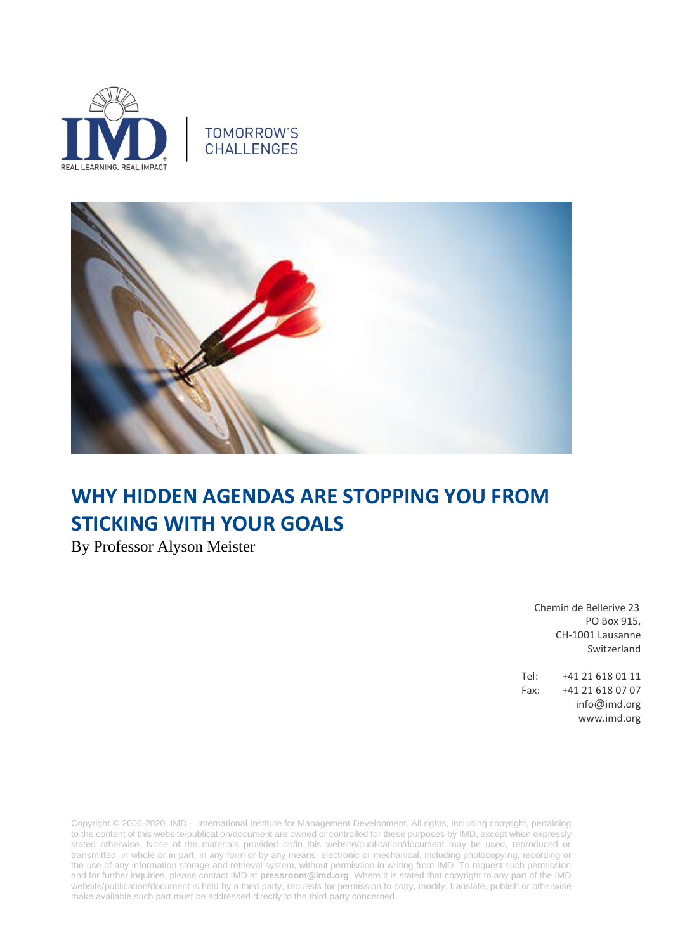





# **WHY HIDDEN AGENDAS ARE STOPPING YOU FROM STICKING WITH YOUR GOALS**

By Professor Alyson Meister

 Chemin de Bellerive 23 PO Box 915, CH-1001 Lausanne Switzerland

Tel: +41 21 618 01 11 Fax: +41 21 618 07 07 info@imd.org www.imd.org

Copyright © 2006-2020 IMD - International Institute for Management Development. All rights, including copyright, pertaining to the content of this website/publication/document are owned or controlled for these purposes by IMD, except when expressly stated otherwise. None of the materials provided on/in this website/publication/document may be used, reproduced or transmitted, in whole or in part, in any form or by any means, electronic or mechanical, including photocopying, recording or the use of any information storage and retrieval system, without permission in writing from IMD. To request such permission and for further inquiries, please contact IMD at **[pressroom@imd.org](mailto:pressroom@imd.org)**. Where it is stated that copyright to any part of the IMD website/publication/document is held by a third party, requests for permission to copy, modify, translate, publish or otherwise make available such part must be addressed directly to the third party concerned.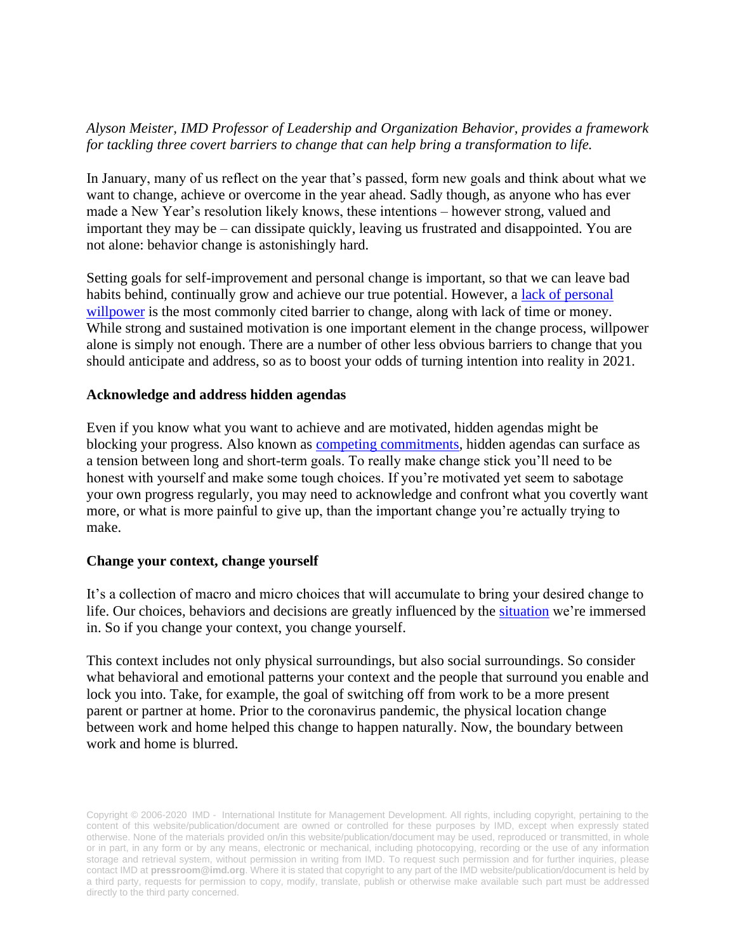## *Alyson Meister, IMD Professor of Leadership and Organization Behavior, provides a framework for tackling three covert barriers to change that can help bring a transformation to life.*

In January, many of us reflect on the year that's passed, form new goals and think about what we want to change, achieve or overcome in the year ahead. Sadly though, as anyone who has ever made a New Year's resolution likely knows, these intentions – however strong, valued and important they may be – can dissipate quickly, leaving us frustrated and disappointed. You are not alone: behavior change is astonishingly hard.

Setting goals for self-improvement and personal change is important, so that we can leave bad habits behind, continually grow and achieve our true potential. However, a [lack of personal](https://www.apa.org/topics/stress-willpower.pdf)  [willpower](https://www.apa.org/topics/stress-willpower.pdf) is the most commonly cited barrier to change, along with lack of time or money. While strong and sustained motivation is one important element in the change process, willpower alone is simply not enough. There are a number of other less obvious barriers to change that you should anticipate and address, so as to boost your odds of turning intention into reality in 2021.

### **Acknowledge and address hidden agendas**

Even if you know what you want to achieve and are motivated, hidden agendas might be blocking your progress. Also known as [competing commitments,](https://hbr.org/2001/11/the-real-reason-people-wont-change) hidden agendas can surface as a tension between long and short-term goals. To really make change stick you'll need to be honest with yourself and make some tough choices. If you're motivated yet seem to sabotage your own progress regularly, you may need to acknowledge and confront what you covertly want more, or what is more painful to give up, than the important change you're actually trying to make.

#### **Change your context, change yourself**

It's a collection of macro and micro choices that will accumulate to bring your desired change to life. Our choices, behaviors and decisions are greatly influenced by the [situation](https://www.sciencedirect.com/science/article/pii/S0749597820303848?casa_token=Ldaccz9gaEIAAAAA:4JGHYavdKdsacaO8myWZ0uR0J-hFNpzFyDE4eHwPcwBzFJs9ml6h-gFCz2stj5RnScgHZQurCxoG) we're immersed in. So if you change your context, you change yourself.

This context includes not only physical surroundings, but also social surroundings. So consider what behavioral and emotional patterns your context and the people that surround you enable and lock you into. Take, for example, the goal of switching off from work to be a more present parent or partner at home. Prior to the coronavirus pandemic, the physical location change between work and home helped this change to happen naturally. Now, the boundary between work and home is blurred.

Copyright © 2006-2020 IMD - International Institute for Management Development. All rights, including copyright, pertaining to the content of this website/publication/document are owned or controlled for these purposes by IMD, except when expressly stated otherwise. None of the materials provided on/in this website/publication/document may be used, reproduced or transmitted, in whole or in part, in any form or by any means, electronic or mechanical, including photocopying, recording or the use of any information storage and retrieval system, without permission in writing from IMD. To request such permission and for further inquiries, please contact IMD at **[pressroom@imd.org](mailto:pressroom@imd.org)**. Where it is stated that copyright to any part of the IMD website/publication/document is held by a third party, requests for permission to copy, modify, translate, publish or otherwise make available such part must be addressed directly to the third party concerned.